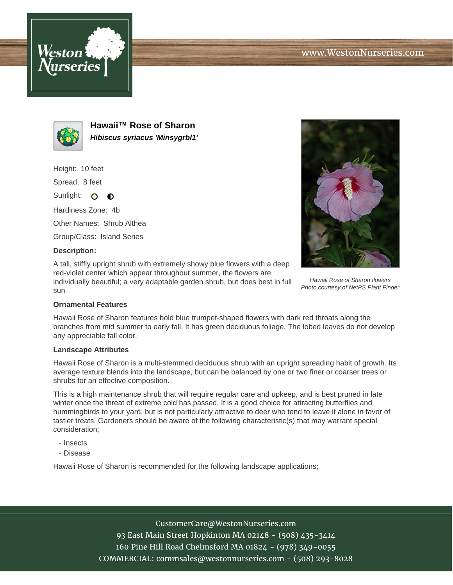



**Hawaii™ Rose of Sharon Hibiscus syriacus 'Minsygrbl1'**

Height: 10 feet

Spread: 8 feet

Sunlight: O  $\bullet$ 

Hardiness Zone: 4b

Other Names: Shrub Althea

Group/Class: Island Series

### **Description:**

A tall, stiffly upright shrub with extremely showy blue flowers with a deep red-violet center which appear throughout summer, the flowers are individually beautiful; a very adaptable garden shrub, but does best in full sun



Hawaii Rose of Sharon flowers Photo courtesy of NetPS Plant Finder

# **Ornamental Features**

Hawaii Rose of Sharon features bold blue trumpet-shaped flowers with dark red throats along the branches from mid summer to early fall. It has green deciduous foliage. The lobed leaves do not develop any appreciable fall color.

#### **Landscape Attributes**

Hawaii Rose of Sharon is a multi-stemmed deciduous shrub with an upright spreading habit of growth. Its average texture blends into the landscape, but can be balanced by one or two finer or coarser trees or shrubs for an effective composition.

This is a high maintenance shrub that will require regular care and upkeep, and is best pruned in late winter once the threat of extreme cold has passed. It is a good choice for attracting butterflies and hummingbirds to your yard, but is not particularly attractive to deer who tend to leave it alone in favor of tastier treats. Gardeners should be aware of the following characteristic(s) that may warrant special consideration;

- Insects
- Disease

Hawaii Rose of Sharon is recommended for the following landscape applications;

### CustomerCare@WestonNurseries.com

93 East Main Street Hopkinton MA 02148 - (508) 435-3414 160 Pine Hill Road Chelmsford MA 01824 - (978) 349-0055 COMMERCIAL: commsales@westonnurseries.com - (508) 293-8028